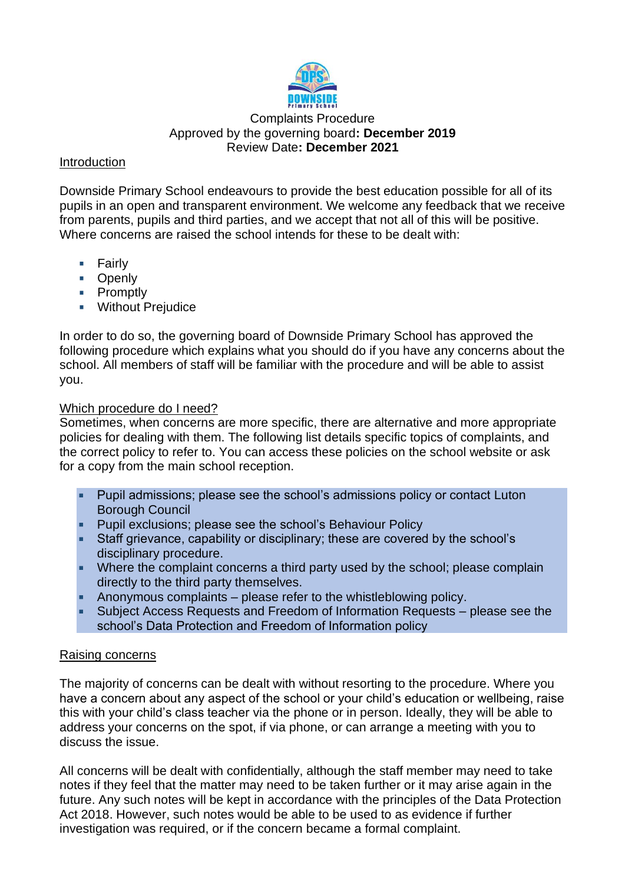

# Complaints Procedure Approved by the governing board**: December 2019** Review Date**: December 2021**

## Introduction

Downside Primary School endeavours to provide the best education possible for all of its pupils in an open and transparent environment. We welcome any feedback that we receive from parents, pupils and third parties, and we accept that not all of this will be positive. Where concerns are raised the school intends for these to be dealt with:

- $\blacksquare$  Fairly
- **D** Openly
- **Promptly**
- **Without Prejudice**

In order to do so, the governing board of Downside Primary School has approved the following procedure which explains what you should do if you have any concerns about the school. All members of staff will be familiar with the procedure and will be able to assist you.

# Which procedure do I need?

Sometimes, when concerns are more specific, there are alternative and more appropriate policies for dealing with them. The following list details specific topics of complaints, and the correct policy to refer to. You can access these policies on the school website or ask for a copy from the main school reception.

- Pupil admissions; please see the school's admissions policy or contact Luton Borough Council
- **Pupil exclusions; please see the school's Behaviour Policy**
- Staff grievance, capability or disciplinary; these are covered by the school's disciplinary procedure.
- **Where the complaint concerns a third party used by the school; please complain** directly to the third party themselves.
- Anonymous complaints  $-$  please refer to the whistleblowing policy.
- Subject Access Requests and Freedom of Information Requests please see the school's Data Protection and Freedom of Information policy

#### Raising concerns

The majority of concerns can be dealt with without resorting to the procedure. Where you have a concern about any aspect of the school or your child's education or wellbeing, raise this with your child's class teacher via the phone or in person. Ideally, they will be able to address your concerns on the spot, if via phone, or can arrange a meeting with you to discuss the issue.

All concerns will be dealt with confidentially, although the staff member may need to take notes if they feel that the matter may need to be taken further or it may arise again in the future. Any such notes will be kept in accordance with the principles of the Data Protection Act 2018. However, such notes would be able to be used to as evidence if further investigation was required, or if the concern became a formal complaint.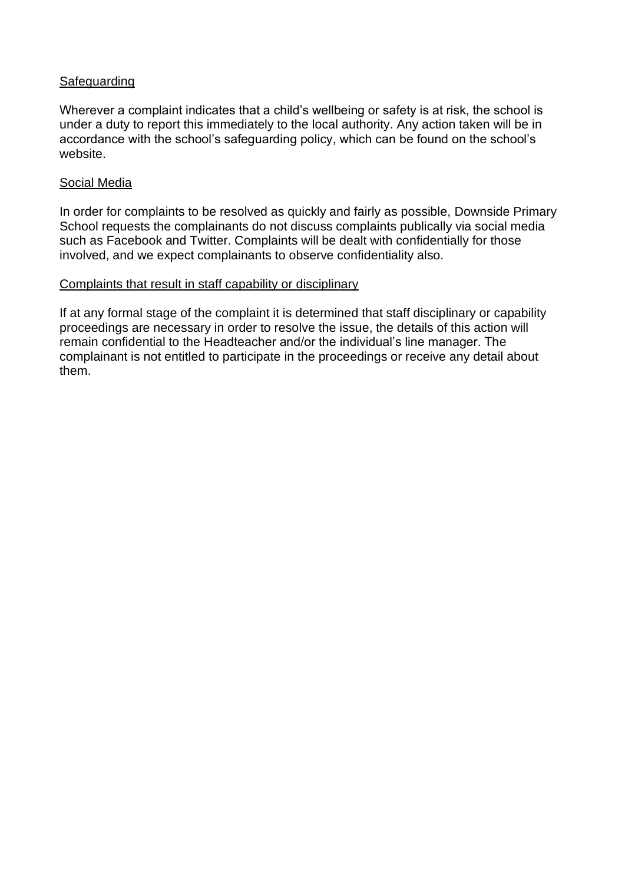#### Safeguarding

Wherever a complaint indicates that a child's wellbeing or safety is at risk, the school is under a duty to report this immediately to the local authority. Any action taken will be in accordance with the school's safeguarding policy, which can be found on the school's website.

#### Social Media

In order for complaints to be resolved as quickly and fairly as possible, Downside Primary School requests the complainants do not discuss complaints publically via social media such as Facebook and Twitter. Complaints will be dealt with confidentially for those involved, and we expect complainants to observe confidentiality also.

#### Complaints that result in staff capability or disciplinary

If at any formal stage of the complaint it is determined that staff disciplinary or capability proceedings are necessary in order to resolve the issue, the details of this action will remain confidential to the Headteacher and/or the individual's line manager. The complainant is not entitled to participate in the proceedings or receive any detail about them.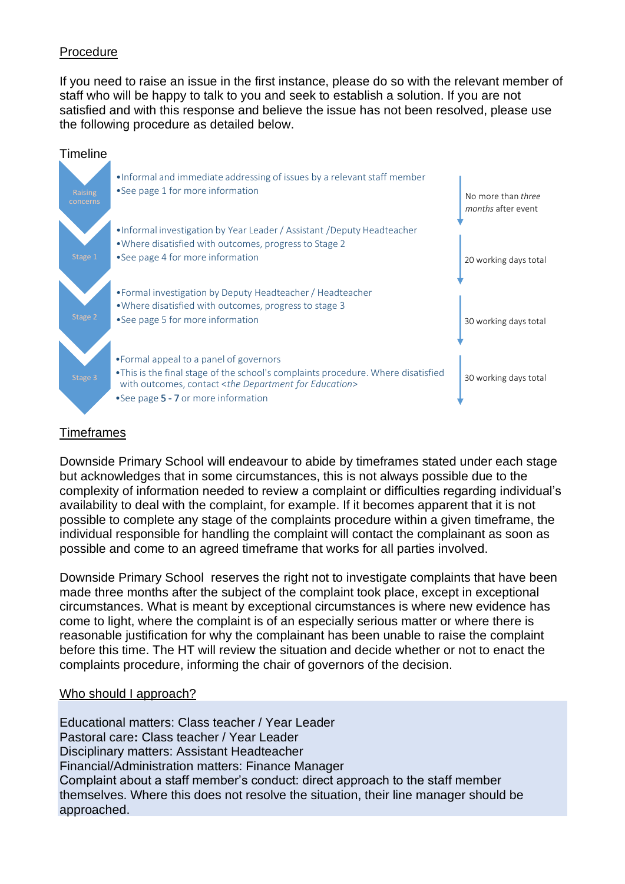## Procedure

If you need to raise an issue in the first instance, please do so with the relevant member of staff who will be happy to talk to you and seek to establish a solution. If you are not satisfied and with this response and believe the issue has not been resolved, please use the following procedure as detailed below.



#### **Timeframes**

Downside Primary School will endeavour to abide by timeframes stated under each stage but acknowledges that in some circumstances, this is not always possible due to the complexity of information needed to review a complaint or difficulties regarding individual's availability to deal with the complaint, for example. If it becomes apparent that it is not possible to complete any stage of the complaints procedure within a given timeframe, the individual responsible for handling the complaint will contact the complainant as soon as possible and come to an agreed timeframe that works for all parties involved.

Downside Primary School reserves the right not to investigate complaints that have been made three months after the subject of the complaint took place, except in exceptional circumstances. What is meant by exceptional circumstances is where new evidence has come to light, where the complaint is of an especially serious matter or where there is reasonable justification for why the complainant has been unable to raise the complaint before this time. The HT will review the situation and decide whether or not to enact the complaints procedure, informing the chair of governors of the decision.

#### Who should I approach?

Educational matters: Class teacher / Year Leader Pastoral care**:** Class teacher / Year Leader Disciplinary matters: Assistant Headteacher Financial/Administration matters: Finance Manager Complaint about a staff member's conduct: direct approach to the staff member themselves. Where this does not resolve the situation, their line manager should be approached.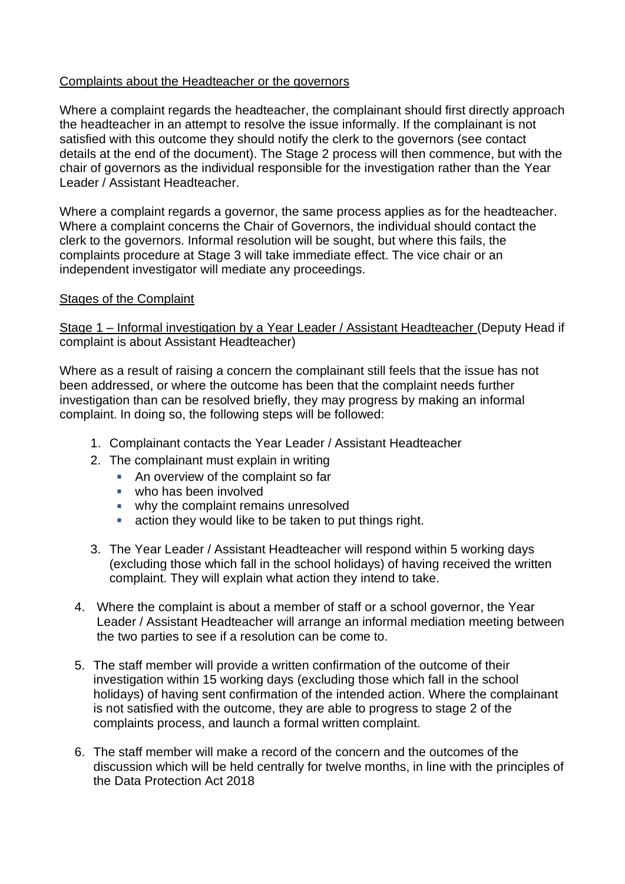## Complaints about the Headteacher or the governors

Where a complaint regards the headteacher, the complainant should first directly approach the headteacher in an attempt to resolve the issue informally. If the complainant is not satisfied with this outcome they should notify the clerk to the governors (see contact details at the end of the document). The Stage 2 process will then commence, but with the chair of governors as the individual responsible for the investigation rather than the Year Leader / Assistant Headteacher.

Where a complaint regards a governor, the same process applies as for the headteacher. Where a complaint concerns the Chair of Governors, the individual should contact the clerk to the governors. Informal resolution will be sought, but where this fails, the complaints procedure at Stage 3 will take immediate effect. The vice chair or an independent investigator will mediate any proceedings.

# Stages of the Complaint

## Stage 1 – Informal investigation by a Year Leader / Assistant Headteacher (Deputy Head if complaint is about Assistant Headteacher)

Where as a result of raising a concern the complainant still feels that the issue has not been addressed, or where the outcome has been that the complaint needs further investigation than can be resolved briefly, they may progress by making an informal complaint. In doing so, the following steps will be followed:

- 1. Complainant contacts the Year Leader / Assistant Headteacher
- 2. The complainant must explain in writing
	- An overview of the complaint so far
	- who has been involved
	- why the complaint remains unresolved
	- $\mathbf{m}$ action they would like to be taken to put things right.
- 3. The Year Leader / Assistant Headteacher will respond within 5 working days (excluding those which fall in the school holidays) of having received the written complaint. They will explain what action they intend to take.
- 4. Where the complaint is about a member of staff or a school governor, the Year Leader / Assistant Headteacher will arrange an informal mediation meeting between the two parties to see if a resolution can be come to.
- 5. The staff member will provide a written confirmation of the outcome of their investigation within 15 working days (excluding those which fall in the school holidays) of having sent confirmation of the intended action. Where the complainant is not satisfied with the outcome, they are able to progress to stage 2 of the complaints process, and launch a formal written complaint.
- 6. The staff member will make a record of the concern and the outcomes of the discussion which will be held centrally for twelve months, in line with the principles of the Data Protection Act 2018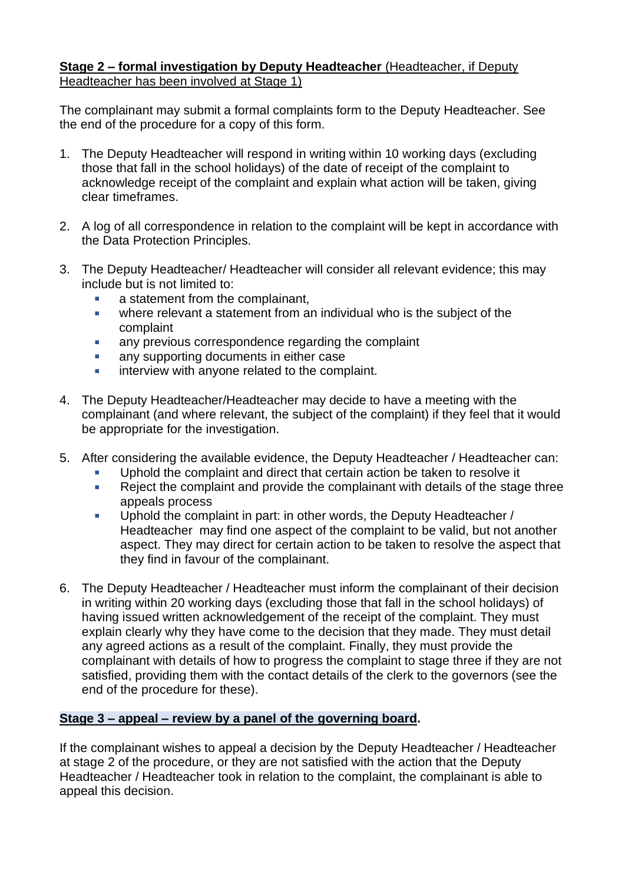# **Stage 2 – formal investigation by Deputy Headteacher** (Headteacher, if Deputy Headteacher has been involved at Stage 1)

The complainant may submit a formal complaints form to the Deputy Headteacher. See the end of the procedure for a copy of this form.

- 1. The Deputy Headteacher will respond in writing within 10 working days (excluding those that fall in the school holidays) of the date of receipt of the complaint to acknowledge receipt of the complaint and explain what action will be taken, giving clear timeframes.
- 2. A log of all correspondence in relation to the complaint will be kept in accordance with the Data Protection Principles.
- 3. The Deputy Headteacher/ Headteacher will consider all relevant evidence; this may include but is not limited to:
	- a statement from the complainant,
	- where relevant a statement from an individual who is the subject of the  $\mathbf{r}$ complaint
	- a. any previous correspondence regarding the complaint
	- any supporting documents in either case  $\mathcal{L}_{\mathcal{A}}$
	- $\mathbf{r}$ interview with anyone related to the complaint.
- 4. The Deputy Headteacher/Headteacher may decide to have a meeting with the complainant (and where relevant, the subject of the complaint) if they feel that it would be appropriate for the investigation.
- 5. After considering the available evidence, the Deputy Headteacher / Headteacher can:
	- Uphold the complaint and direct that certain action be taken to resolve it  $\mathbf{r}$
	- $\mathbf{r}$ Reject the complaint and provide the complainant with details of the stage three appeals process
	- Uphold the complaint in part: in other words, the Deputy Headteacher /  $\mathbf{r}$ Headteacher may find one aspect of the complaint to be valid, but not another aspect. They may direct for certain action to be taken to resolve the aspect that they find in favour of the complainant.
- 6. The Deputy Headteacher / Headteacher must inform the complainant of their decision in writing within 20 working days (excluding those that fall in the school holidays) of having issued written acknowledgement of the receipt of the complaint. They must explain clearly why they have come to the decision that they made. They must detail any agreed actions as a result of the complaint. Finally, they must provide the complainant with details of how to progress the complaint to stage three if they are not satisfied, providing them with the contact details of the clerk to the governors (see the end of the procedure for these).

# **Stage 3 – appeal – review by a panel of the governing board.**

If the complainant wishes to appeal a decision by the Deputy Headteacher / Headteacher at stage 2 of the procedure, or they are not satisfied with the action that the Deputy Headteacher / Headteacher took in relation to the complaint, the complainant is able to appeal this decision.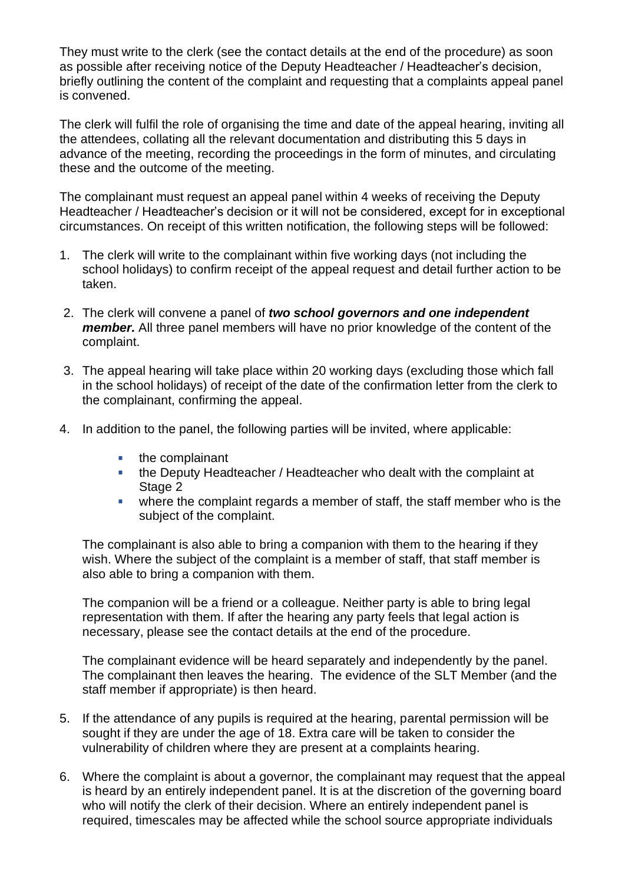They must write to the clerk (see the contact details at the end of the procedure) as soon as possible after receiving notice of the Deputy Headteacher / Headteacher's decision, briefly outlining the content of the complaint and requesting that a complaints appeal panel is convened.

The clerk will fulfil the role of organising the time and date of the appeal hearing, inviting all the attendees, collating all the relevant documentation and distributing this 5 days in advance of the meeting, recording the proceedings in the form of minutes, and circulating these and the outcome of the meeting.

The complainant must request an appeal panel within 4 weeks of receiving the Deputy Headteacher / Headteacher's decision or it will not be considered, except for in exceptional circumstances. On receipt of this written notification, the following steps will be followed:

- 1. The clerk will write to the complainant within five working days (not including the school holidays) to confirm receipt of the appeal request and detail further action to be taken.
- 2. The clerk will convene a panel of *two school governors and one independent member.* All three panel members will have no prior knowledge of the content of the complaint.
- 3. The appeal hearing will take place within 20 working days (excluding those which fall in the school holidays) of receipt of the date of the confirmation letter from the clerk to the complainant, confirming the appeal.
- 4. In addition to the panel, the following parties will be invited, where applicable:
	- $\blacksquare$  the complainant
	- the Deputy Headteacher / Headteacher who dealt with the complaint at Stage 2
	- $\mathbf{u}$ where the complaint regards a member of staff, the staff member who is the subject of the complaint.

The complainant is also able to bring a companion with them to the hearing if they wish. Where the subject of the complaint is a member of staff, that staff member is also able to bring a companion with them.

The companion will be a friend or a colleague. Neither party is able to bring legal representation with them. If after the hearing any party feels that legal action is necessary, please see the contact details at the end of the procedure.

The complainant evidence will be heard separately and independently by the panel. The complainant then leaves the hearing. The evidence of the SLT Member (and the staff member if appropriate) is then heard.

- 5. If the attendance of any pupils is required at the hearing, parental permission will be sought if they are under the age of 18. Extra care will be taken to consider the vulnerability of children where they are present at a complaints hearing.
- 6. Where the complaint is about a governor, the complainant may request that the appeal is heard by an entirely independent panel. It is at the discretion of the governing board who will notify the clerk of their decision. Where an entirely independent panel is required, timescales may be affected while the school source appropriate individuals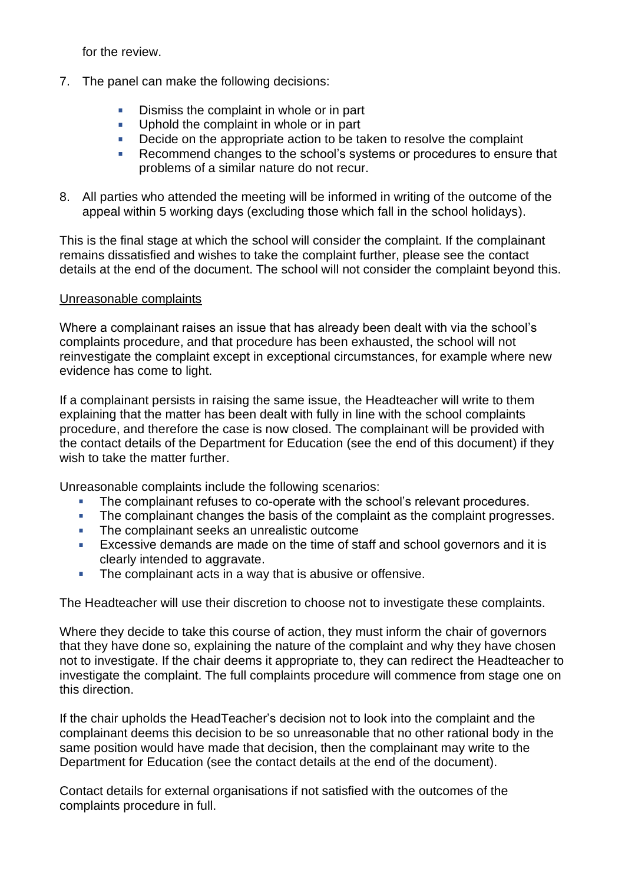for the review.

- 7. The panel can make the following decisions:
	- Dismiss the complaint in whole or in part
	- Uphold the complaint in whole or in part **College**
	- Decide on the appropriate action to be taken to resolve the complaint **International**
	- Recommend changes to the school's systems or procedures to ensure that problems of a similar nature do not recur.
- 8. All parties who attended the meeting will be informed in writing of the outcome of the appeal within 5 working days (excluding those which fall in the school holidays).

This is the final stage at which the school will consider the complaint. If the complainant remains dissatisfied and wishes to take the complaint further, please see the contact details at the end of the document. The school will not consider the complaint beyond this.

#### Unreasonable complaints

Where a complainant raises an issue that has already been dealt with via the school's complaints procedure, and that procedure has been exhausted, the school will not reinvestigate the complaint except in exceptional circumstances, for example where new evidence has come to light.

If a complainant persists in raising the same issue, the Headteacher will write to them explaining that the matter has been dealt with fully in line with the school complaints procedure, and therefore the case is now closed. The complainant will be provided with the contact details of the Department for Education (see the end of this document) if they wish to take the matter further.

Unreasonable complaints include the following scenarios:

- The complainant refuses to co-operate with the school's relevant procedures.
- The complainant changes the basis of the complaint as the complaint progresses. m.
- The complainant seeks an unrealistic outcome  $\mathcal{L}_{\mathcal{A}}$
- Excessive demands are made on the time of staff and school governors and it is a. clearly intended to aggravate.
- The complainant acts in a way that is abusive or offensive.  $\mathbf{r}$

The Headteacher will use their discretion to choose not to investigate these complaints.

Where they decide to take this course of action, they must inform the chair of governors that they have done so, explaining the nature of the complaint and why they have chosen not to investigate. If the chair deems it appropriate to, they can redirect the Headteacher to investigate the complaint. The full complaints procedure will commence from stage one on this direction.

If the chair upholds the HeadTeacher's decision not to look into the complaint and the complainant deems this decision to be so unreasonable that no other rational body in the same position would have made that decision, then the complainant may write to the Department for Education (see the contact details at the end of the document).

Contact details for external organisations if not satisfied with the outcomes of the complaints procedure in full.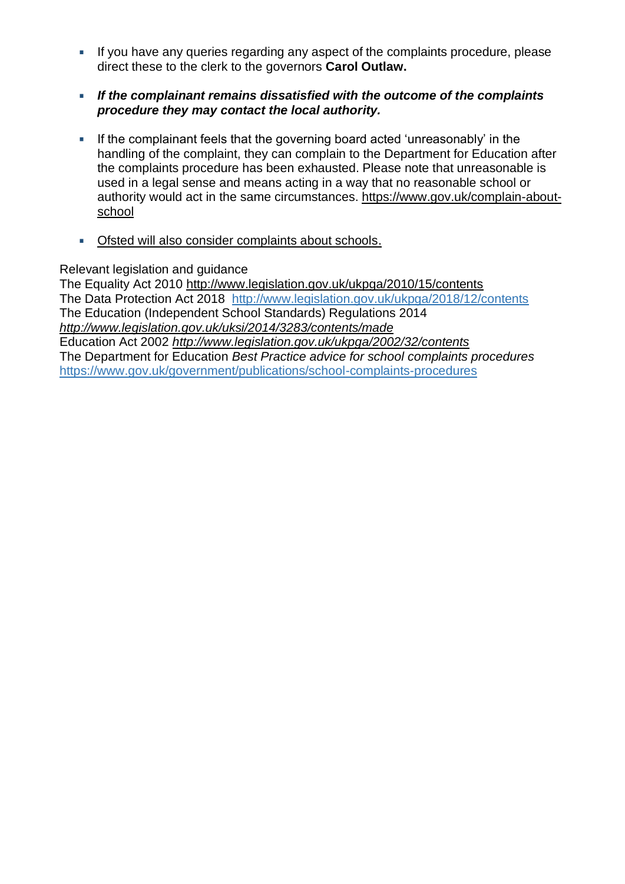- If you have any queries regarding any aspect of the complaints procedure, please **I** direct these to the clerk to the governors **Carol Outlaw.**
- *If the complainant remains dissatisfied with the outcome of the complaints*  **COLLEGE** *procedure they may contact the local authority.*
- If the complainant feels that the governing board acted 'unreasonably' in the a. handling of the complaint, they can complain to the Department for Education after the complaints procedure has been exhausted. Please note that unreasonable is used in a legal sense and means acting in a way that no reasonable school or authority would act in the same circumstances. [https://www.gov.uk/complain-about](https://www.gov.uk/complain-about-school)[school](https://www.gov.uk/complain-about-school)
- Ofsted will also consider complaints about schools. à.

Relevant legislation and guidance

The Equality Act 2010<http://www.legislation.gov.uk/ukpga/2010/15/contents> The Data Protection Act 2018 <http://www.legislation.gov.uk/ukpga/2018/12/contents> The Education (Independent School Standards) Regulations 2014 *<http://www.legislation.gov.uk/uksi/2014/3283/contents/made>* Education Act 2002 *<http://www.legislation.gov.uk/ukpga/2002/32/contents>* The Department for Education *Best Practice advice for school complaints procedures*  <https://www.gov.uk/government/publications/school-complaints-procedures>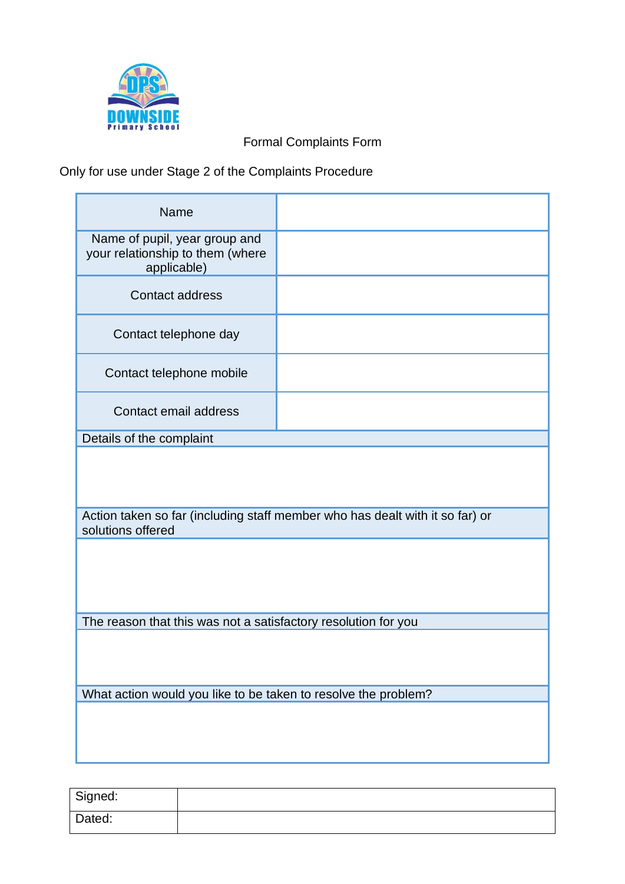

Formal Complaints Form

# Only for use under Stage 2 of the Complaints Procedure

| <b>Name</b>                                                                                       |  |
|---------------------------------------------------------------------------------------------------|--|
| Name of pupil, year group and<br>your relationship to them (where<br>applicable)                  |  |
| <b>Contact address</b>                                                                            |  |
| Contact telephone day                                                                             |  |
| Contact telephone mobile                                                                          |  |
| Contact email address                                                                             |  |
| Details of the complaint                                                                          |  |
| Action taken so far (including staff member who has dealt with it so far) or<br>solutions offered |  |
|                                                                                                   |  |
|                                                                                                   |  |
| The reason that this was not a satisfactory resolution for you                                    |  |
|                                                                                                   |  |
|                                                                                                   |  |
| What action would you like to be taken to resolve the problem?                                    |  |
|                                                                                                   |  |

| Signed: |  |
|---------|--|
| Dated:  |  |